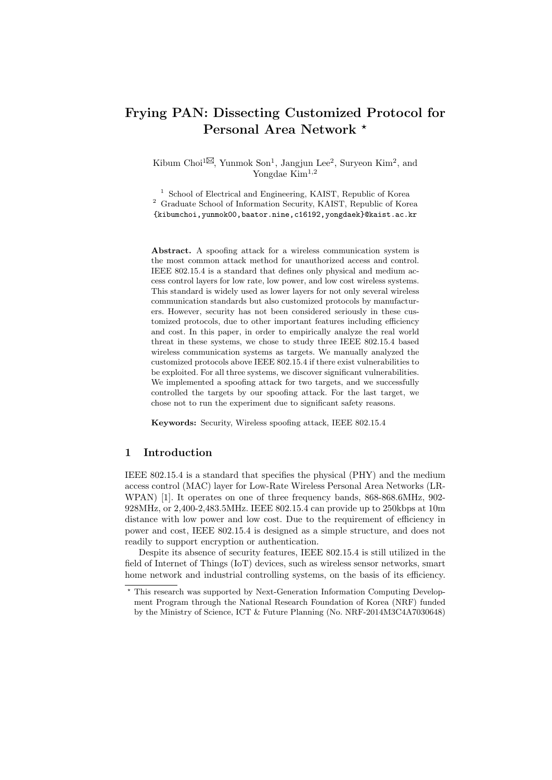# Frying PAN: Dissecting Customized Protocol for Personal Area Network \*

Kibum Choi<sup>1 $\boxtimes$ </sup>, Yunmok Son<sup>1</sup>, Jangjun Lee<sup>2</sup>, Suryeon Kim<sup>2</sup>, and Yongdae Kim1*,*<sup>2</sup>

<sup>1</sup> School of Electrical and Engineering, KAIST, Republic of Korea <sup>2</sup> Graduate School of Information Security, KAIST, Republic of Korea {kibumchoi,yunmok00,baator.nine,c16192,yongdaek}@kaist.ac.kr

Abstract. A spoofing attack for a wireless communication system is the most common attack method for unauthorized access and control. IEEE 802.15.4 is a standard that defines only physical and medium access control layers for low rate, low power, and low cost wireless systems. This standard is widely used as lower layers for not only several wireless communication standards but also customized protocols by manufacturers. However, security has not been considered seriously in these customized protocols, due to other important features including efficiency and cost. In this paper, in order to empirically analyze the real world threat in these systems, we chose to study three IEEE 802.15.4 based wireless communication systems as targets. We manually analyzed the customized protocols above IEEE 802.15.4 if there exist vulnerabilities to be exploited. For all three systems, we discover significant vulnerabilities. We implemented a spoofing attack for two targets, and we successfully controlled the targets by our spoofing attack. For the last target, we chose not to run the experiment due to significant safety reasons.

Keywords: Security, Wireless spoofing attack, IEEE 802.15.4

# 1 Introduction

IEEE 802.15.4 is a standard that specifies the physical (PHY) and the medium access control (MAC) layer for Low-Rate Wireless Personal Area Networks (LR-WPAN) [\[1\]](#page-11-0). It operates on one of three frequency bands, 868-868.6MHz, 902- 928MHz, or 2,400-2,483.5MHz. IEEE 802.15.4 can provide up to 250kbps at 10m distance with low power and low cost. Due to the requirement of efficiency in power and cost, IEEE 802.15.4 is designed as a simple structure, and does not readily to support encryption or authentication.

Despite its absence of security features, IEEE 802.15.4 is still utilized in the field of Internet of Things (IoT) devices, such as wireless sensor networks, smart home network and industrial controlling systems, on the basis of its efficiency.

<sup>?</sup> This research was supported by Next-Generation Information Computing Development Program through the National Research Foundation of Korea (NRF) funded by the Ministry of Science, ICT & Future Planning (No. NRF-2014M3C4A7030648)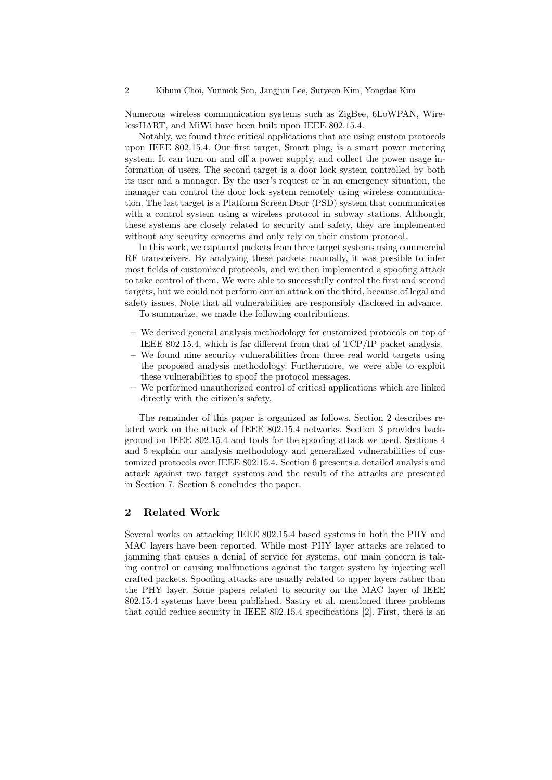Numerous wireless communication systems such as ZigBee, 6LoWPAN, WirelessHART, and MiWi have been built upon IEEE 802.15.4.

Notably, we found three critical applications that are using custom protocols upon IEEE 802.15.4. Our first target, Smart plug, is a smart power metering system. It can turn on and off a power supply, and collect the power usage information of users. The second target is a door lock system controlled by both its user and a manager. By the user's request or in an emergency situation, the manager can control the door lock system remotely using wireless communication. The last target is a Platform Screen Door (PSD) system that communicates with a control system using a wireless protocol in subway stations. Although, these systems are closely related to security and safety, they are implemented without any security concerns and only rely on their custom protocol.

In this work, we captured packets from three target systems using commercial RF transceivers. By analyzing these packets manually, it was possible to infer most fields of customized protocols, and we then implemented a spoofing attack to take control of them. We were able to successfully control the first and second targets, but we could not perform our an attack on the third, because of legal and safety issues. Note that all vulnerabilities are responsibly disclosed in advance.

To summarize, we made the following contributions.

- We derived general analysis methodology for customized protocols on top of IEEE 802.15.4, which is far different from that of  $TCP/IP$  packet analysis.
- We found nine security vulnerabilities from three real world targets using the proposed analysis methodology. Furthermore, we were able to exploit these vulnerabilities to spoof the protocol messages.
- We performed unauthorized control of critical applications which are linked directly with the citizen's safety.

The remainder of this paper is organized as follows. Section [2](#page-1-0) describes related work on the attack of IEEE 802.15.4 networks. Section [3](#page-2-0) provides background on IEEE 802.15.4 and tools for the spoofing attack we used. Sections [4](#page-3-0) and [5](#page-4-0) explain our analysis methodology and generalized vulnerabilities of customized protocols over IEEE 802.15.4. Section [6](#page-5-0) presents a detailed analysis and attack against two target systems and the result of the attacks are presented in Section [7.](#page-10-0) Section [8](#page-11-1) concludes the paper.

# <span id="page-1-0"></span>2 Related Work

Several works on attacking IEEE 802.15.4 based systems in both the PHY and MAC layers have been reported. While most PHY layer attacks are related to jamming that causes a denial of service for systems, our main concern is taking control or causing malfunctions against the target system by injecting well crafted packets. Spoofing attacks are usually related to upper layers rather than the PHY layer. Some papers related to security on the MAC layer of IEEE 802.15.4 systems have been published. Sastry et al. mentioned three problems that could reduce security in IEEE 802.15.4 specifications [\[2\]](#page-11-2). First, there is an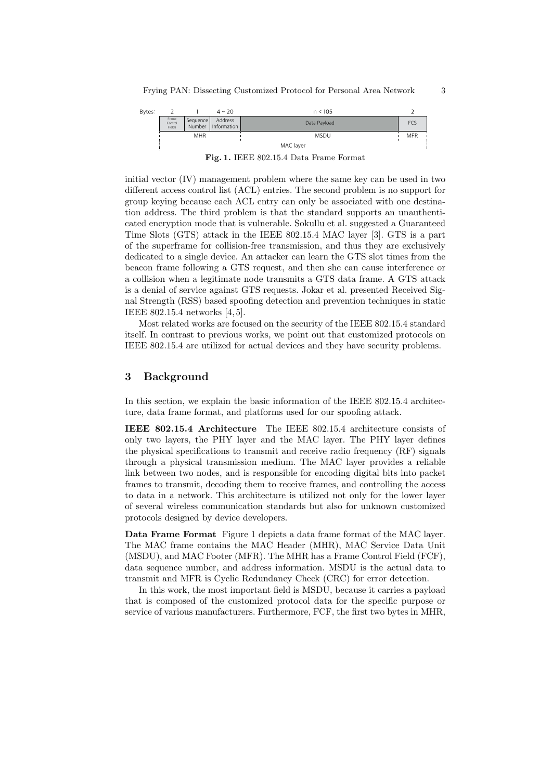

Frame Control Fields Sequence Number Address<br>Informatio Participation Data Payload FCS<br>Information **Properties** MHR MSDU MFR MAC layer

<span id="page-2-1"></span>Fig. 1. IEEE 802.15.4 Data Frame Format

initial vector (IV) management problem where the same key can be used in two different access control list  $(ACL)$  entries. The second problem is no support for group keying because each ACL entry can only be associated with one destination address. The third problem is that the standard supports an unauthenticated encryption mode that is vulnerable. Sokullu et al. suggested a Guaranteed Time Slots (GTS) attack in the IEEE 802.15.4 MAC layer [\[3\]](#page-11-3). GTS is a part of the superframe for collision-free transmission, and thus they are exclusively dedicated to a single device. An attacker can learn the GTS slot times from the beacon frame following a GTS request, and then she can cause interference or a collision when a legitimate node transmits a GTS data frame. A GTS attack is a denial of service against GTS requests. Jokar et al. presented Received Signal Strength (RSS) based spoofing detection and prevention techniques in static IEEE 802.15.4 networks [\[4,](#page-11-4) [5\]](#page-11-5).

Most related works are focused on the security of the IEEE 802.15.4 standard itself. In contrast to previous works, we point out that customized protocols on IEEE 802.15.4 are utilized for actual devices and they have security problems.

# <span id="page-2-0"></span>3 Background

In this section, we explain the basic information of the IEEE 802.15.4 architecture, data frame format, and platforms used for our spoofing attack.

IEEE 802.15.4 Architecture The IEEE 802.15.4 architecture consists of only two layers, the PHY layer and the MAC layer. The PHY layer defines the physical specifications to transmit and receive radio frequency (RF) signals through a physical transmission medium. The MAC layer provides a reliable link between two nodes, and is responsible for encoding digital bits into packet frames to transmit, decoding them to receive frames, and controlling the access to data in a network. This architecture is utilized not only for the lower layer of several wireless communication standards but also for unknown customized protocols designed by device developers.

Data Frame Format Figure [1](#page-2-1) depicts a data frame format of the MAC layer. The MAC frame contains the MAC Header (MHR), MAC Service Data Unit (MSDU), and MAC Footer (MFR). The MHR has a Frame Control Field (FCF), data sequence number, and address information. MSDU is the actual data to transmit and MFR is Cyclic Redundancy Check (CRC) for error detection.

In this work, the most important field is MSDU, because it carries a payload that is composed of the customized protocol data for the specific purpose or service of various manufacturers. Furthermore, FCF, the first two bytes in MHR,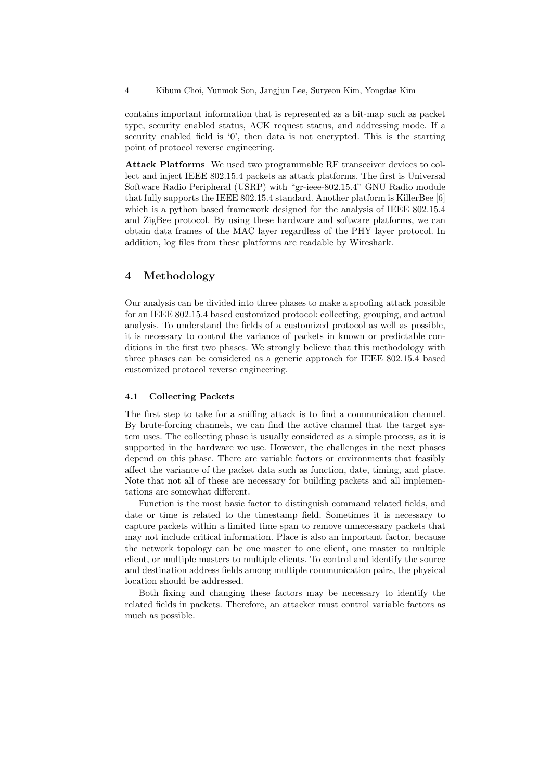contains important information that is represented as a bit-map such as packet type, security enabled status, ACK request status, and addressing mode. If a security enabled field is '0', then data is not encrypted. This is the starting point of protocol reverse engineering.

Attack Platforms We used two programmable RF transceiver devices to collect and inject IEEE 802.15.4 packets as attack platforms. The first is Universal Software Radio Peripheral (USRP) with "gr-ieee-802.15.4" GNU Radio module that fully supports the IEEE 802.15.4 standard. Another platform is KillerBee [\[6\]](#page-11-6) which is a python based framework designed for the analysis of IEEE 802.15.4 and ZigBee protocol. By using these hardware and software platforms, we can obtain data frames of the MAC layer regardless of the PHY layer protocol. In addition, log files from these platforms are readable by Wireshark.

# <span id="page-3-0"></span>4 Methodology

Our analysis can be divided into three phases to make a spoofing attack possible for an IEEE 802.15.4 based customized protocol: collecting, grouping, and actual analysis. To understand the fields of a customized protocol as well as possible, it is necessary to control the variance of packets in known or predictable conditions in the first two phases. We strongly believe that this methodology with three phases can be considered as a generic approach for IEEE 802.15.4 based customized protocol reverse engineering.

#### 4.1 Collecting Packets

The first step to take for a sniffing attack is to find a communication channel. By brute-forcing channels, we can find the active channel that the target system uses. The collecting phase is usually considered as a simple process, as it is supported in the hardware we use. However, the challenges in the next phases depend on this phase. There are variable factors or environments that feasibly affect the variance of the packet data such as function, date, timing, and place. Note that not all of these are necessary for building packets and all implementations are somewhat different.

Function is the most basic factor to distinguish command related fields, and date or time is related to the timestamp field. Sometimes it is necessary to capture packets within a limited time span to remove unnecessary packets that may not include critical information. Place is also an important factor, because the network topology can be one master to one client, one master to multiple client, or multiple masters to multiple clients. To control and identify the source and destination address fields among multiple communication pairs, the physical location should be addressed.

Both fixing and changing these factors may be necessary to identify the related fields in packets. Therefore, an attacker must control variable factors as much as possible.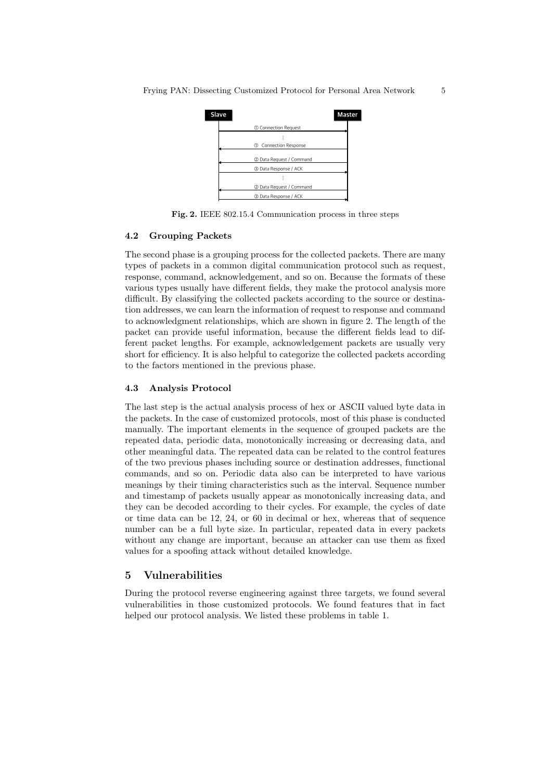

<span id="page-4-1"></span>Fig. 2. IEEE 802.15.4 Communication process in three steps

#### 4.2 Grouping Packets

The second phase is a grouping process for the collected packets. There are many types of packets in a common digital communication protocol such as request, response, command, acknowledgement, and so on. Because the formats of these various types usually have different fields, they make the protocol analysis more difficult. By classifying the collected packets according to the source or destination addresses, we can learn the information of request to response and command to acknowledgment relationships, which are shown in figure [2.](#page-4-1) The length of the packet can provide useful information, because the different fields lead to different packet lengths. For example, acknowledgement packets are usually very short for efficiency. It is also helpful to categorize the collected packets according to the factors mentioned in the previous phase.

### 4.3 Analysis Protocol

The last step is the actual analysis process of hex or ASCII valued byte data in the packets. In the case of customized protocols, most of this phase is conducted manually. The important elements in the sequence of grouped packets are the repeated data, periodic data, monotonically increasing or decreasing data, and other meaningful data. The repeated data can be related to the control features of the two previous phases including source or destination addresses, functional commands, and so on. Periodic data also can be interpreted to have various meanings by their timing characteristics such as the interval. Sequence number and timestamp of packets usually appear as monotonically increasing data, and they can be decoded according to their cycles. For example, the cycles of date or time data can be 12, 24, or 60 in decimal or hex, whereas that of sequence number can be a full byte size. In particular, repeated data in every packets without any change are important, because an attacker can use them as fixed values for a spoofing attack without detailed knowledge.

# <span id="page-4-0"></span>5 Vulnerabilities

During the protocol reverse engineering against three targets, we found several vulnerabilities in those customized protocols. We found features that in fact helped our protocol analysis. We listed these problems in table [1.](#page-5-1)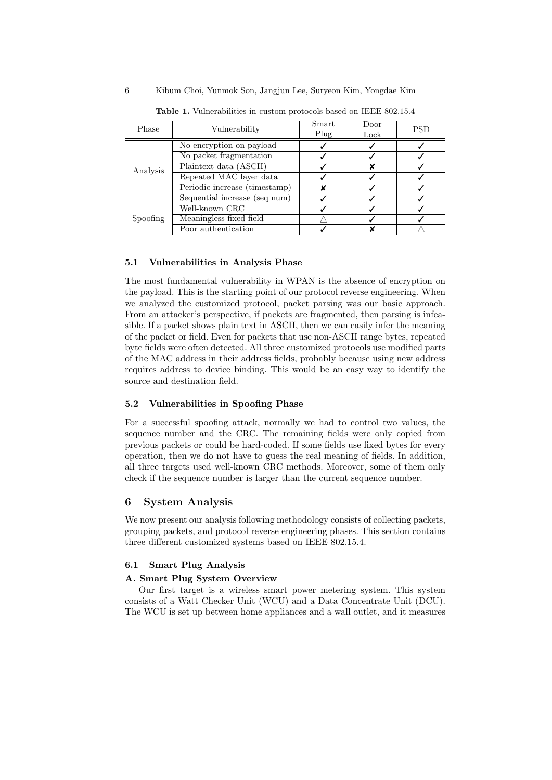| Phase    | Vulnerability                 | S <sub>mart</sub><br>Plug | Door<br>Lock | <b>PSD</b> |
|----------|-------------------------------|---------------------------|--------------|------------|
|          | No encryption on payload      |                           |              |            |
|          | No packet fragmentation       |                           |              |            |
| Analysis | Plaintext data (ASCII)        |                           |              |            |
|          | Repeated MAC layer data       |                           |              |            |
|          | Periodic increase (timestamp) |                           |              |            |
|          | Sequential increase (seq num) |                           |              |            |
|          | Well-known CRC                |                           |              |            |
| Spoofing | Meaningless fixed field       |                           |              |            |
|          | Poor authentication           |                           |              |            |

<span id="page-5-1"></span>Table 1. Vulnerabilities in custom protocols based on IEEE 802.15.4

# 5.1 Vulnerabilities in Analysis Phase

The most fundamental vulnerability in WPAN is the absence of encryption on the payload. This is the starting point of our protocol reverse engineering. When we analyzed the customized protocol, packet parsing was our basic approach. From an attacker's perspective, if packets are fragmented, then parsing is infeasible. If a packet shows plain text in ASCII, then we can easily infer the meaning of the packet or field. Even for packets that use non-ASCII range bytes, repeated byte fields were often detected. All three customized protocols use modified parts of the MAC address in their address fields, probably because using new address requires address to device binding. This would be an easy way to identify the source and destination field.

### 5.2 Vulnerabilities in Spoofing Phase

For a successful spoofing attack, normally we had to control two values, the sequence number and the CRC. The remaining fields were only copied from previous packets or could be hard-coded. If some fields use fixed bytes for every operation, then we do not have to guess the real meaning of fields. In addition, all three targets used well-known CRC methods. Moreover, some of them only check if the sequence number is larger than the current sequence number.

# <span id="page-5-0"></span>6 System Analysis

We now present our analysis following methodology consists of collecting packets, grouping packets, and protocol reverse engineering phases. This section contains three different customized systems based on IEEE 802.15.4.

### 6.1 Smart Plug Analysis

#### A. Smart Plug System Overview

Our first target is a wireless smart power metering system. This system consists of a Watt Checker Unit (WCU) and a Data Concentrate Unit (DCU). The WCU is set up between home appliances and a wall outlet, and it measures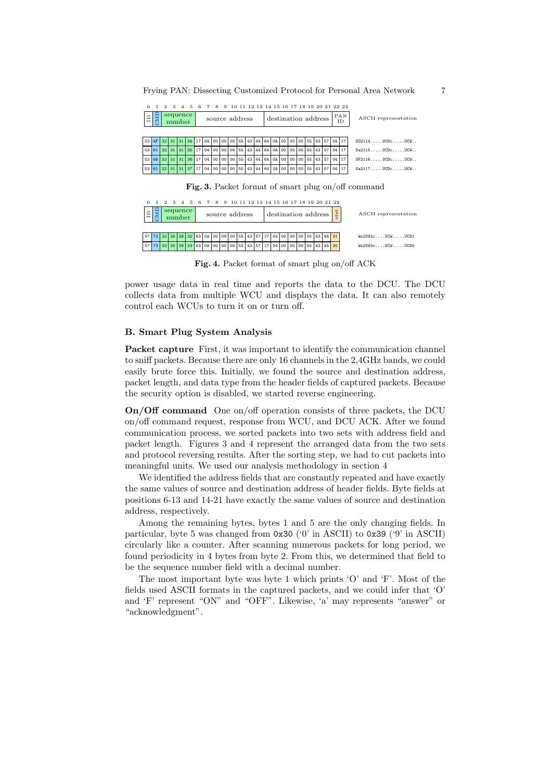| 0 1 2 3 4 5 6 7 8 9 10 11 12 13 14 15 16 17 18 19 20 21 22 23<br>$\mathbf{r}$ | Ë |  | sequence<br>number | PAN<br>destination address<br>source address<br><b>ID</b> |  |  |  |  |  |  |  |  |  |  |  | ASCII representation |  |                                                                                |                       |
|-------------------------------------------------------------------------------|---|--|--------------------|-----------------------------------------------------------|--|--|--|--|--|--|--|--|--|--|--|----------------------|--|--------------------------------------------------------------------------------|-----------------------|
|                                                                               |   |  |                    |                                                           |  |  |  |  |  |  |  |  |  |  |  |                      |  | 53 4 F 32 31 31 34 34 57 04 00 00 00 55 43 44 54 04 00 00 00 00 55 43 57 04 57 | $S02114$ $UCDc$ $UCW$ |
|                                                                               |   |  |                    |                                                           |  |  |  |  |  |  |  |  |  |  |  |                      |  | 53 61 32 31 31 35 36 37 30 30 43 44 56 43 44 56 50 50 50 51 43 57 50 41 5      | Sa2115UCDcUCCW        |
|                                                                               |   |  |                    |                                                           |  |  |  |  |  |  |  |  |  |  |  |                      |  | 53 46 32 31 31 36 17 04 00 00 00 55 43 44 64 04 00 00 00 55 43 57 04 17        | $SF2116$ $UCDc$ $UCW$ |
|                                                                               |   |  |                    |                                                           |  |  |  |  |  |  |  |  |  |  |  |                      |  | 53 61 32 31 31 37 17 04 00 00 00 55 43 44 64 04 00 00 00 55 43 57 04 17        | Sa2117UCDcUCD         |

 $0.7$  8  $0.101111212141516171819992$ 

<span id="page-6-0"></span>Fig. 3. Packet format of smart plug on/off command



<span id="page-6-1"></span>Fig. 4. Packet format of smart plug on/off ACK

power usage data in real time and reports the data to the DCU. The DCU collects data from multiple WCU and displays the data. It can also remotely control each WCUs to turn it on or turn off.

#### B. Smart Plug System Analysis

Packet capture First, it was important to identify the communication channel to sniff packets. Because there are only 16 channels in the 2,4GHz bands, we could easily brute force this. Initially, we found the source and destination address, packet length, and data type from the header fields of captured packets. Because the security option is disabled, we started reverse engineering.

 $On/Off$  command One on/off operation consists of three packets, the DCU on/off command request, response from WCU, and DCU ACK. After we found communication process, we sorted packets into two sets with address field and packet length. Figures [3](#page-6-0) and [4](#page-6-1) represent the arranged data from the two sets and protocol reversing results. After the sorting step, we had to cut packets into meaningful units. We used our analysis methodology in section [4](#page-3-0)

We identified the address fields that are constantly repeated and have exactly the same values of source and destination address of header fields. Byte fields at positions 6-13 and 14-21 have exactly the same values of source and destination address, respectively.

Among the remaining bytes, bytes 1 and 5 are the only changing fields. In particular, byte 5 was changed from 0x30 ('0' in ASCII) to 0x39 ('9' in ASCII) circularly like a counter. After scanning numerous packets for long period, we found periodicity in 4 bytes from byte 2. From this, we determined that field to be the sequence number field with a decimal number.

The most important byte was byte 1 which prints 'O' and 'F'. Most of the fields used ASCII formats in the captured packets, and we could infer that 'O' and 'F' represent "ON" and "OFF". Likewise, 'a' may represents "answer" or "acknowledgment".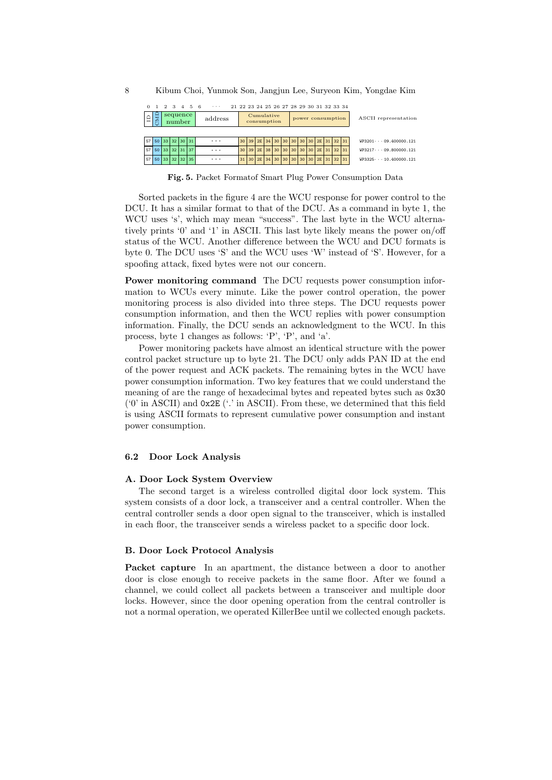| $\mathbf{r}$ |                   | sequence<br>number |  | address  |  | Cumulative<br>consumption                 |  |  |  | power consumption | ASCII representation                     |
|--------------|-------------------|--------------------|--|----------|--|-------------------------------------------|--|--|--|-------------------|------------------------------------------|
|              |                   |                    |  |          |  |                                           |  |  |  |                   |                                          |
|              | 57 50 33 32 30 31 |                    |  | $\cdots$ |  | 30 39 2E 34 30 30 30 30 30 30 2E 31 32 31 |  |  |  |                   | $WP3201 \cdot \cdot \cdot 09.400000.121$ |
| 57           | 50 33 32 31 37    |                    |  | $\cdots$ |  | 30 39 2E 38 30 30 30 30 30 30 2E 31 32 31 |  |  |  |                   | WP3217. 09.800000.121                    |
|              | 57 50 33 32 32 35 |                    |  | $\cdots$ |  | 31 30 2E 34 30 30 30 30 30 30 2E 31 32 31 |  |  |  |                   | $WP3325 \cdot \cdot \cdot 10.400000.121$ |

0123456 *···* 21 22 23 24 25 26 27 28 29 30 31 32 33 34

Fig. 5. Packet Formatof Smart Plug Power Consumption Data

Sorted packets in the figure [4](#page-6-1) are the WCU response for power control to the DCU. It has a similar format to that of the DCU. As a command in byte 1, the WCU uses 's', which may mean "success". The last byte in the WCU alternatively prints '0' and '1' in ASCII. This last byte likely means the power on/off status of the WCU. Another difference between the WCU and DCU formats is byte 0. The DCU uses 'S' and the WCU uses 'W' instead of 'S'. However, for a spoofing attack, fixed bytes were not our concern.

Power monitoring command The DCU requests power consumption information to WCUs every minute. Like the power control operation, the power monitoring process is also divided into three steps. The DCU requests power consumption information, and then the WCU replies with power consumption information. Finally, the DCU sends an acknowledgment to the WCU. In this process, byte 1 changes as follows: 'P', 'P', and 'a'.

Power monitoring packets have almost an identical structure with the power control packet structure up to byte 21. The DCU only adds PAN ID at the end of the power request and ACK packets. The remaining bytes in the WCU have power consumption information. Two key features that we could understand the meaning of are the range of hexadecimal bytes and repeated bytes such as 0x30  $(0)$  in ASCII) and  $0x2E$   $(·)$  in ASCII). From these, we determined that this field is using ASCII formats to represent cumulative power consumption and instant power consumption.

#### 6.2 Door Lock Analysis

#### A. Door Lock System Overview

The second target is a wireless controlled digital door lock system. This system consists of a door lock, a transceiver and a central controller. When the central controller sends a door open signal to the transceiver, which is installed in each floor, the transceiver sends a wireless packet to a specific door lock.

#### B. Door Lock Protocol Analysis

Packet capture In an apartment, the distance between a door to another door is close enough to receive packets in the same floor. After we found a channel, we could collect all packets between a transceiver and multiple door locks. However, since the door opening operation from the central controller is not a normal operation, we operated KillerBee until we collected enough packets.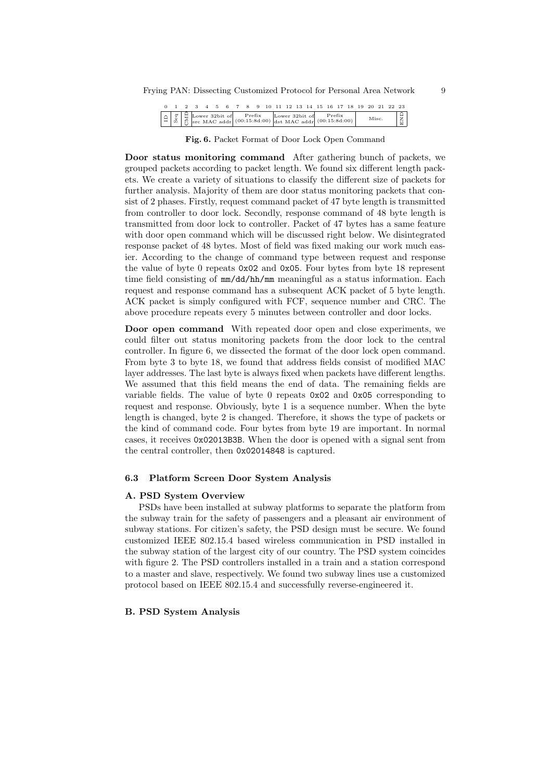Frying PAN: Dissecting Customized Protocol for Personal Area Network 9

|  |  |  | 0 1 2 3 4 5 6 7 8 9 10 11 12 13 14 15 16 17 18 19 20 21 22 23                                                                                                                                                |  |  |  |  |  |  |  |       |  |
|--|--|--|--------------------------------------------------------------------------------------------------------------------------------------------------------------------------------------------------------------|--|--|--|--|--|--|--|-------|--|
|  |  |  | $\fbox{\parbox{1.5cm}{ {\begin{tabular}{ c  c  c } \hline $G$ & $S$ & Lower 32bit of &Prefix \\ $m$ & $S$ & src MAC addr (00:15:8d:00) & dest MAC addr (00:15:8d:00) $\\ \hline \end{tabular}}}} \label{f5}$ |  |  |  |  |  |  |  | Misc. |  |

<span id="page-8-0"></span>Fig. 6. Packet Format of Door Lock Open Command

Door status monitoring command After gathering bunch of packets, we grouped packets according to packet length. We found six different length packets. We create a variety of situations to classify the different size of packets for further analysis. Majority of them are door status monitoring packets that consist of 2 phases. Firstly, request command packet of 47 byte length is transmitted from controller to door lock. Secondly, response command of 48 byte length is transmitted from door lock to controller. Packet of 47 bytes has a same feature with door open command which will be discussed right below. We disintegrated response packet of 48 bytes. Most of field was fixed making our work much easier. According to the change of command type between request and response the value of byte 0 repeats 0x02 and 0x05. Four bytes from byte 18 represent time field consisting of mm/dd/hh/mm meaningful as a status information. Each request and response command has a subsequent ACK packet of 5 byte length. ACK packet is simply configured with FCF, sequence number and CRC. The above procedure repeats every 5 minutes between controller and door locks.

Door open command With repeated door open and close experiments, we could filter out status monitoring packets from the door lock to the central controller. In figure [6,](#page-8-0) we dissected the format of the door lock open command. From byte 3 to byte 18, we found that address fields consist of modified MAC layer addresses. The last byte is always fixed when packets have different lengths. We assumed that this field means the end of data. The remaining fields are variable fields. The value of byte 0 repeats 0x02 and 0x05 corresponding to request and response. Obviously, byte 1 is a sequence number. When the byte length is changed, byte 2 is changed. Therefore, it shows the type of packets or the kind of command code. Four bytes from byte 19 are important. In normal cases, it receives 0x02013B3B. When the door is opened with a signal sent from the central controller, then 0x02014848 is captured.

#### 6.3 Platform Screen Door System Analysis

#### A. PSD System Overview

PSDs have been installed at subway platforms to separate the platform from the subway train for the safety of passengers and a pleasant air environment of subway stations. For citizen's safety, the PSD design must be secure. We found customized IEEE 802.15.4 based wireless communication in PSD installed in the subway station of the largest city of our country. The PSD system coincides with figure [2.](#page-4-1) The PSD controllers installed in a train and a station correspond to a master and slave, respectively. We found two subway lines use a customized protocol based on IEEE 802.15.4 and successfully reverse-engineered it.

# B. PSD System Analysis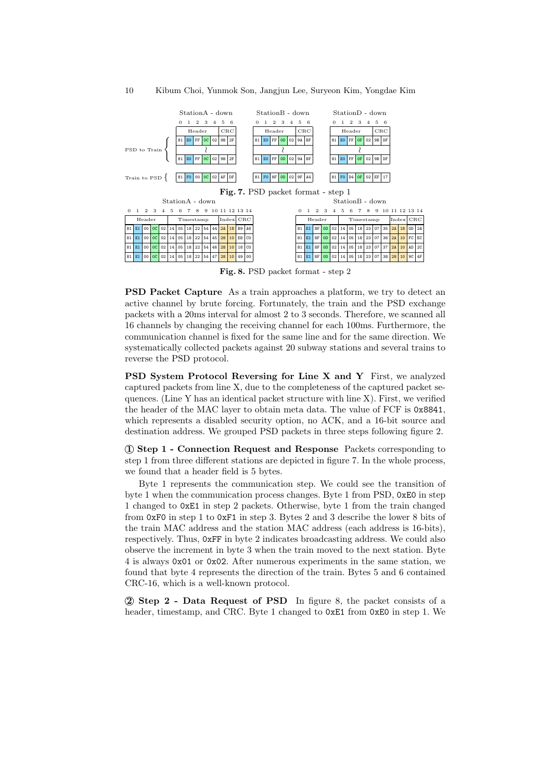

<span id="page-9-1"></span><span id="page-9-0"></span>Fig. 8. PSD packet format - step 2

PSD Packet Capture As a train approaches a platform, we try to detect an active channel by brute forcing. Fortunately, the train and the PSD exchange packets with a 20ms interval for almost 2 to 3 seconds. Therefore, we scanned all 16 channels by changing the receiving channel for each 100ms. Furthermore, the communication channel is fixed for the same line and for the same direction. We systematically collected packets against 20 subway stations and several trains to reverse the PSD protocol.

PSD System Protocol Reversing for Line X and Y First, we analyzed captured packets from line X, due to the completeness of the captured packet sequences. (Line Y has an identical packet structure with line X). First, we verified the header of the MAC layer to obtain meta data. The value of FCF is 0x8841, which represents a disabled security option, no ACK, and a 16-bit source and destination address. We grouped PSD packets in three steps following figure [2.](#page-4-1)

1 Step 1 - Connection Request and Response Packets corresponding to step 1 from three different stations are depicted in figure [7.](#page-9-0) In the whole process, we found that a header field is 5 bytes.

Byte 1 represents the communication step. We could see the transition of byte 1 when the communication process changes. Byte 1 from PSD, 0xE0 in step 1 changed to 0xE1 in step 2 packets. Otherwise, byte 1 from the train changed from 0xF0 in step 1 to 0xF1 in step 3. Bytes 2 and 3 describe the lower 8 bits of the train MAC address and the station MAC address (each address is 16-bits), respectively. Thus, 0xFF in byte 2 indicates broadcasting address. We could also observe the increment in byte 3 when the train moved to the next station. Byte 4 is always 0x01 or 0x02. After numerous experiments in the same station, we found that byte 4 represents the direction of the train. Bytes 5 and 6 contained CRC-16, which is a well-known protocol.

2 Step 2 - Data Request of PSD In figure [8,](#page-9-1) the packet consists of a header, timestamp, and CRC. Byte 1 changed to  $0xE1$  from  $0xE0$  in step 1. We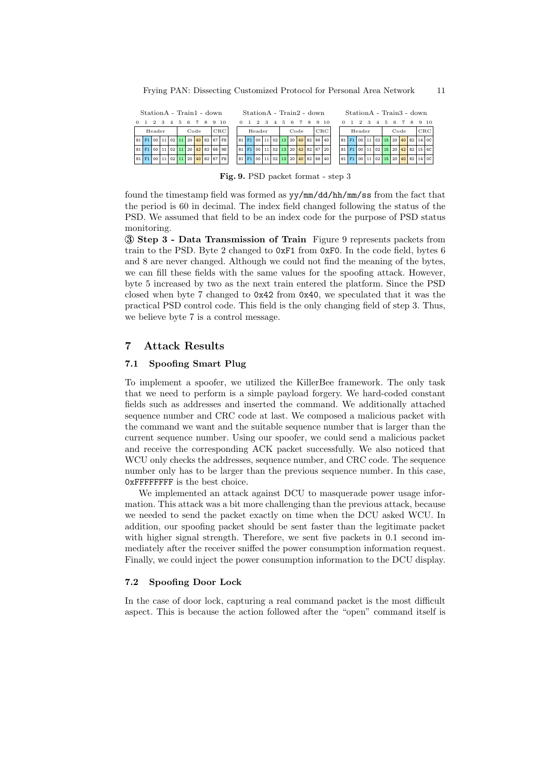| StationA - Train1 - down |                                  |                             |  |  |  |      |  |  |              |  |  | StationA - Train2 - down |  |        |  |  |  |  |      |                                  |     |                                  | StationA - Train3 - down |  |  |  |  |  |      |  |              |  |                                  |
|--------------------------|----------------------------------|-----------------------------|--|--|--|------|--|--|--------------|--|--|--------------------------|--|--------|--|--|--|--|------|----------------------------------|-----|----------------------------------|--------------------------|--|--|--|--|--|------|--|--------------|--|----------------------------------|
|                          | 0 1 2 3 4 5 6 7 8 9 10           |                             |  |  |  |      |  |  |              |  |  |                          |  |        |  |  |  |  |      |                                  |     | 0 1 2 3 4 5 6 7 8 9 10           |                          |  |  |  |  |  |      |  |              |  | 0 1 2 3 4 5 6 7 8 9 10           |
|                          |                                  | Header                      |  |  |  | Code |  |  | $_{\rm CRC}$ |  |  |                          |  | Header |  |  |  |  | Code |                                  | CRC |                                  | Header                   |  |  |  |  |  | Code |  | $_{\rm CRC}$ |  |                                  |
|                          | 81 F1 00 11 02 11 20 40 82 67 F8 |                             |  |  |  |      |  |  |              |  |  |                          |  |        |  |  |  |  |      |                                  |     | 81 F1 00 11 02 13 20 40 82 66 40 |                          |  |  |  |  |  |      |  |              |  | 81 F1 00 11 02 15 20 40 82 14 0C |
|                          | $81$ F <sub>1</sub>              | 100 11 02 11 20 42 82 66 98 |  |  |  |      |  |  |              |  |  |                          |  |        |  |  |  |  |      | 81 F1 00 11 02 13 20 42 82 67 20 |     |                                  |                          |  |  |  |  |  |      |  |              |  | 81 F1 00 11 02 15 20 42 82 15 60 |
|                          | 81 F1 00 11 02 11 20 40 82 67 F8 |                             |  |  |  |      |  |  |              |  |  |                          |  |        |  |  |  |  |      |                                  |     | 81 F1 00 11 02 13 20 40 82 66 40 |                          |  |  |  |  |  |      |  |              |  | 81 F1 00 11 02 15 20 40 82 14 0C |

<span id="page-10-1"></span>Fig. 9. PSD packet format - step 3

found the timestamp field was formed as yy/mm/dd/hh/mm/ss from the fact that the period is 60 in decimal. The index field changed following the status of the PSD. We assumed that field to be an index code for the purpose of PSD status monitoring.

3 Step 3 - Data Transmission of Train Figure [9](#page-10-1) represents packets from train to the PSD. Byte 2 changed to 0xF1 from 0xF0. In the code field, bytes 6 and 8 are never changed. Although we could not find the meaning of the bytes, we can fill these fields with the same values for the spoofing attack. However, byte 5 increased by two as the next train entered the platform. Since the PSD closed when byte 7 changed to 0x42 from 0x40, we speculated that it was the practical PSD control code. This field is the only changing field of step 3. Thus, we believe byte 7 is a control message.

# <span id="page-10-0"></span>7 Attack Results

## 7.1 Spoofing Smart Plug

To implement a spoofer, we utilized the KillerBee framework. The only task that we need to perform is a simple payload forgery. We hard-coded constant fields such as addresses and inserted the command. We additionally attached sequence number and CRC code at last. We composed a malicious packet with the command we want and the suitable sequence number that is larger than the current sequence number. Using our spoofer, we could send a malicious packet and receive the corresponding ACK packet successfully. We also noticed that WCU only checks the addresses, sequence number, and CRC code. The sequence number only has to be larger than the previous sequence number. In this case, 0xFFFFFFFF is the best choice.

We implemented an attack against DCU to masquerade power usage information. This attack was a bit more challenging than the previous attack, because we needed to send the packet exactly on time when the DCU asked WCU. In addition, our spoofing packet should be sent faster than the legitimate packet with higher signal strength. Therefore, we sent five packets in  $0.1$  second immediately after the receiver sniffed the power consumption information request. Finally, we could inject the power consumption information to the DCU display.

# 7.2 Spoofing Door Lock

In the case of door lock, capturing a real command packet is the most difficult aspect. This is because the action followed after the "open" command itself is